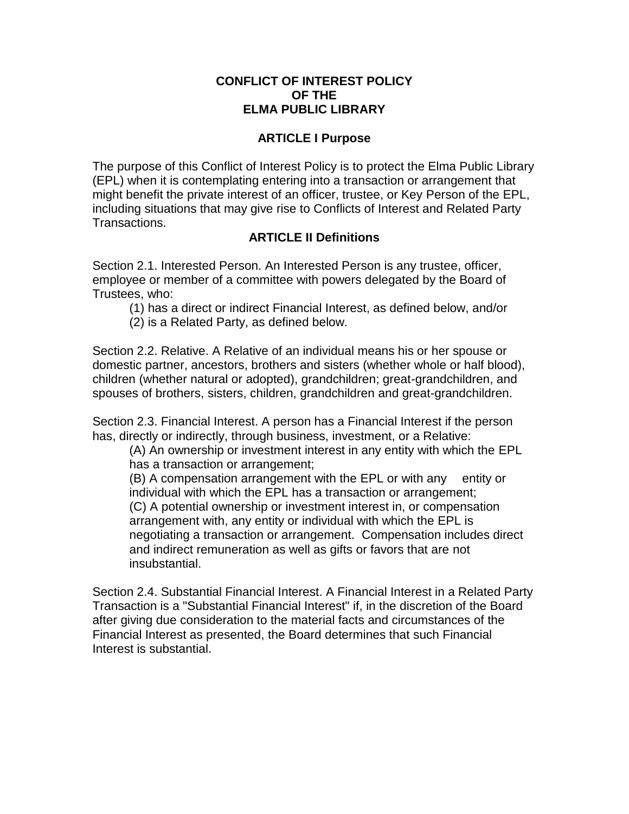### **CONFLICT OF INTEREST POLICY OF THE ELMA PUBLIC LIBRARY**

## **ARTICLE I Purpose**

The purpose of this Conflict of Interest Policy is to protect the Elma Public Library (EPL) when it is contemplating entering into a transaction or arrangement that might benefit the private interest of an officer, trustee, or Key Person of the EPL, including situations that may give rise to Conflicts of Interest and Related Party Transactions.

# **ARTICLE II Definitions**

Section 2.1. Interested Person. An Interested Person is any trustee, officer, employee or member of a committee with powers delegated by the Board of Trustees, who:

- (1) has a direct or indirect Financial Interest, as defined below, and/or
- (2) is a Related Party, as defined below.

Section 2.2. Relative. A Relative of an individual means his or her spouse or domestic partner, ancestors, brothers and sisters (whether whole or half blood), children (whether natural or adopted), grandchildren; great-grandchildren, and spouses of brothers, sisters, children, grandchildren and great-grandchildren.

Section 2.3. Financial Interest. A person has a Financial Interest if the person has, directly or indirectly, through business, investment, or a Relative:

(A) An ownership or investment interest in any entity with which the EPL has a transaction or arrangement;

(B) A compensation arrangement with the EPL or with any entity or individual with which the EPL has a transaction or arrangement; (C) A potential ownership or investment interest in, or compensation arrangement with, any entity or individual with which the EPL is negotiating a transaction or arrangement. Compensation includes direct and indirect remuneration as well as gifts or favors that are not insubstantial.

Section 2.4. Substantial Financial Interest. A Financial Interest in a Related Party Transaction is a "Substantial Financial Interest" if, in the discretion of the Board after giving due consideration to the material facts and circumstances of the Financial Interest as presented, the Board determines that such Financial Interest is substantial.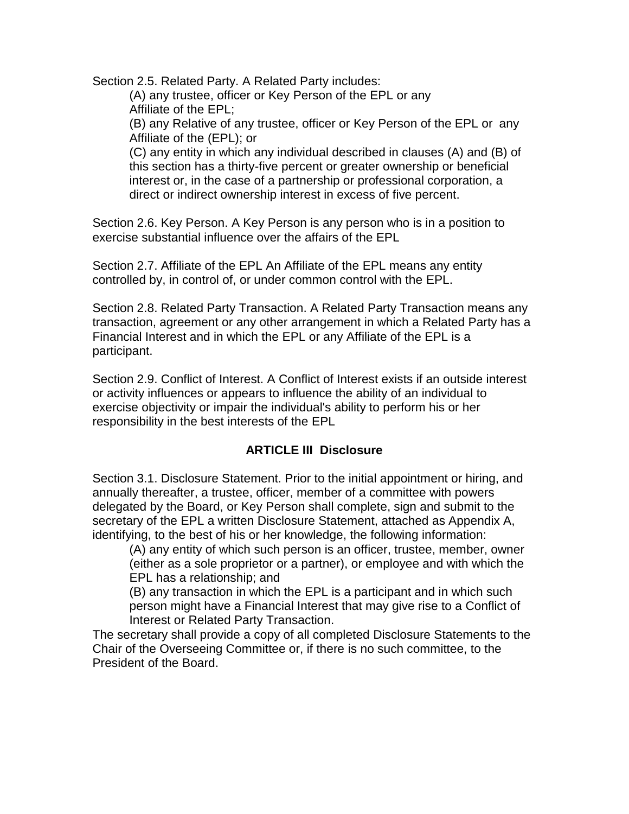Section 2.5. Related Party. A Related Party includes:

(A) any trustee, officer or Key Person of the EPL or any Affiliate of the EPL;

(B) any Relative of any trustee, officer or Key Person of the EPL or any Affiliate of the (EPL); or

(C) any entity in which any individual described in clauses (A) and (B) of this section has a thirty-five percent or greater ownership or beneficial interest or, in the case of a partnership or professional corporation, a direct or indirect ownership interest in excess of five percent.

Section 2.6. Key Person. A Key Person is any person who is in a position to exercise substantial influence over the affairs of the EPL

Section 2.7. Affiliate of the EPL An Affiliate of the EPL means any entity controlled by, in control of, or under common control with the EPL.

Section 2.8. Related Party Transaction. A Related Party Transaction means any transaction, agreement or any other arrangement in which a Related Party has a Financial Interest and in which the EPL or any Affiliate of the EPL is a participant.

Section 2.9. Conflict of Interest. A Conflict of Interest exists if an outside interest or activity influences or appears to influence the ability of an individual to exercise objectivity or impair the individual's ability to perform his or her responsibility in the best interests of the EPL

## **ARTICLE III Disclosure**

Section 3.1. Disclosure Statement. Prior to the initial appointment or hiring, and annually thereafter, a trustee, officer, member of a committee with powers delegated by the Board, or Key Person shall complete, sign and submit to the secretary of the EPL a written Disclosure Statement, attached as Appendix A, identifying, to the best of his or her knowledge, the following information:

(A) any entity of which such person is an officer, trustee, member, owner (either as a sole proprietor or a partner), or employee and with which the EPL has a relationship; and

(B) any transaction in which the EPL is a participant and in which such person might have a Financial Interest that may give rise to a Conflict of Interest or Related Party Transaction.

The secretary shall provide a copy of all completed Disclosure Statements to the Chair of the Overseeing Committee or, if there is no such committee, to the President of the Board.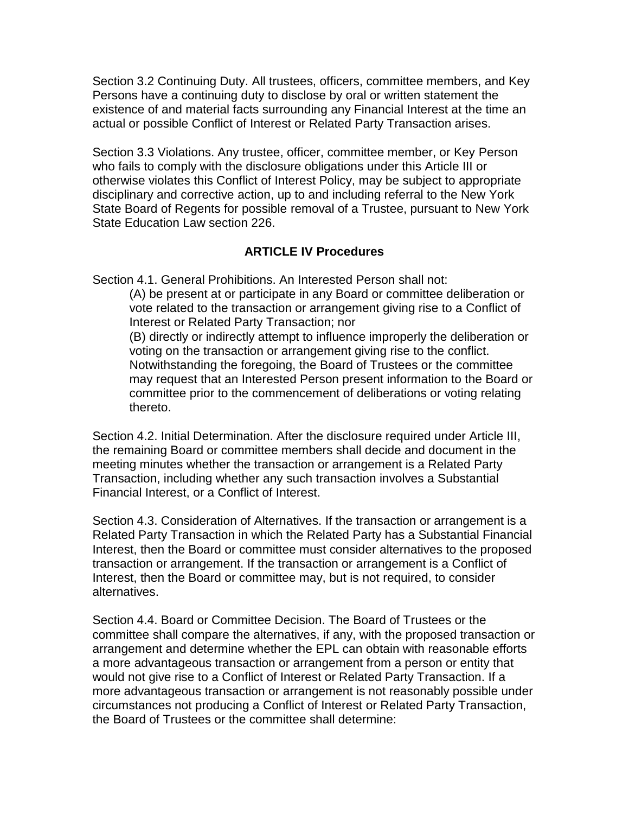Section 3.2 Continuing Duty. All trustees, officers, committee members, and Key Persons have a continuing duty to disclose by oral or written statement the existence of and material facts surrounding any Financial Interest at the time an actual or possible Conflict of Interest or Related Party Transaction arises.

Section 3.3 Violations. Any trustee, officer, committee member, or Key Person who fails to comply with the disclosure obligations under this Article III or otherwise violates this Conflict of Interest Policy, may be subject to appropriate disciplinary and corrective action, up to and including referral to the New York State Board of Regents for possible removal of a Trustee, pursuant to New York State Education Law section 226.

### **ARTICLE IV Procedures**

Section 4.1. General Prohibitions. An Interested Person shall not:

(A) be present at or participate in any Board or committee deliberation or vote related to the transaction or arrangement giving rise to a Conflict of Interest or Related Party Transaction; nor

(B) directly or indirectly attempt to influence improperly the deliberation or voting on the transaction or arrangement giving rise to the conflict. Notwithstanding the foregoing, the Board of Trustees or the committee may request that an Interested Person present information to the Board or committee prior to the commencement of deliberations or voting relating thereto.

Section 4.2. Initial Determination. After the disclosure required under Article III, the remaining Board or committee members shall decide and document in the meeting minutes whether the transaction or arrangement is a Related Party Transaction, including whether any such transaction involves a Substantial Financial Interest, or a Conflict of Interest.

Section 4.3. Consideration of Alternatives. If the transaction or arrangement is a Related Party Transaction in which the Related Party has a Substantial Financial Interest, then the Board or committee must consider alternatives to the proposed transaction or arrangement. If the transaction or arrangement is a Conflict of Interest, then the Board or committee may, but is not required, to consider alternatives.

Section 4.4. Board or Committee Decision. The Board of Trustees or the committee shall compare the alternatives, if any, with the proposed transaction or arrangement and determine whether the EPL can obtain with reasonable efforts a more advantageous transaction or arrangement from a person or entity that would not give rise to a Conflict of Interest or Related Party Transaction. If a more advantageous transaction or arrangement is not reasonably possible under circumstances not producing a Conflict of Interest or Related Party Transaction, the Board of Trustees or the committee shall determine: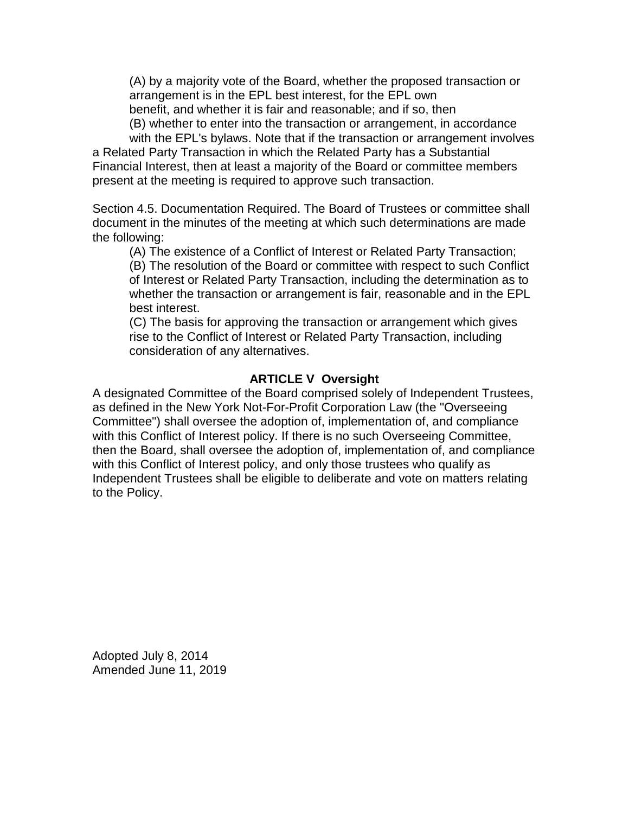(A) by a majority vote of the Board, whether the proposed transaction or arrangement is in the EPL best interest, for the EPL own benefit, and whether it is fair and reasonable; and if so, then

(B) whether to enter into the transaction or arrangement, in accordance

with the EPL's bylaws. Note that if the transaction or arrangement involves a Related Party Transaction in which the Related Party has a Substantial Financial Interest, then at least a majority of the Board or committee members present at the meeting is required to approve such transaction.

Section 4.5. Documentation Required. The Board of Trustees or committee shall document in the minutes of the meeting at which such determinations are made the following:

(A) The existence of a Conflict of Interest or Related Party Transaction;

(B) The resolution of the Board or committee with respect to such Conflict of Interest or Related Party Transaction, including the determination as to whether the transaction or arrangement is fair, reasonable and in the EPL best interest.

(C) The basis for approving the transaction or arrangement which gives rise to the Conflict of Interest or Related Party Transaction, including consideration of any alternatives.

#### **ARTICLE V Oversight**

A designated Committee of the Board comprised solely of Independent Trustees, as defined in the New York Not-For-Profit Corporation Law (the "Overseeing Committee") shall oversee the adoption of, implementation of, and compliance with this Conflict of Interest policy. If there is no such Overseeing Committee, then the Board, shall oversee the adoption of, implementation of, and compliance with this Conflict of Interest policy, and only those trustees who qualify as Independent Trustees shall be eligible to deliberate and vote on matters relating to the Policy.

Adopted July 8, 2014 Amended June 11, 2019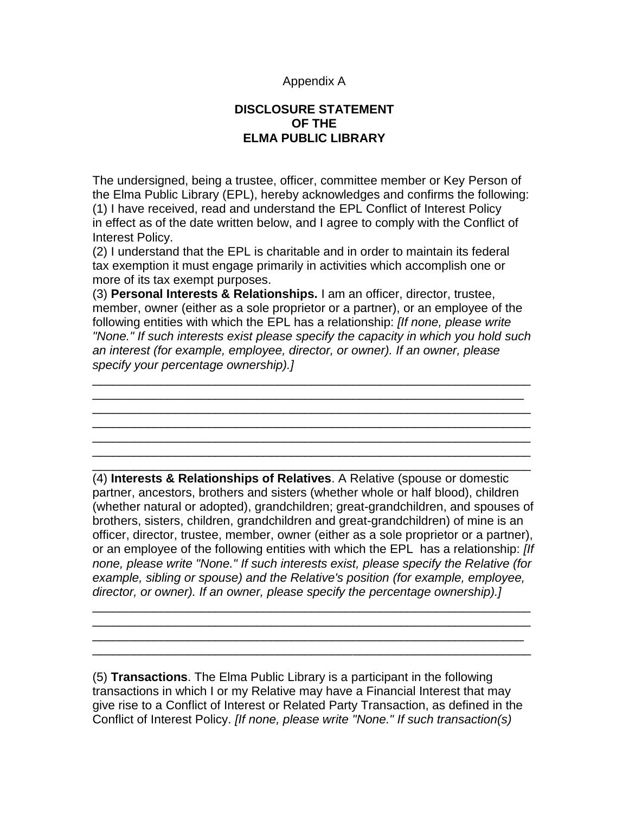#### Appendix A

### **DISCLOSURE STATEMENT OF THE ELMA PUBLIC LIBRARY**

The undersigned, being a trustee, officer, committee member or Key Person of the Elma Public Library (EPL), hereby acknowledges and confirms the following: (1) I have received, read and understand the EPL Conflict of Interest Policy in effect as of the date written below, and I agree to comply with the Conflict of Interest Policy.

(2) I understand that the EPL is charitable and in order to maintain its federal tax exemption it must engage primarily in activities which accomplish one or more of its tax exempt purposes.

(3) **Personal Interests & Relationships.** I am an officer, director, trustee, member, owner (either as a sole proprietor or a partner), or an employee of the following entities with which the EPL has a relationship: *[If none, please write "None." If such interests exist please specify the capacity in which you hold such an interest (for example, employee, director, or owner). If an owner, please specify your percentage ownership).]*

\_\_\_\_\_\_\_\_\_\_\_\_\_\_\_\_\_\_\_\_\_\_\_\_\_\_\_\_\_\_\_\_\_\_\_\_\_\_\_\_\_\_\_\_\_\_\_\_\_\_\_\_\_\_\_\_\_\_\_\_\_\_\_\_ \_\_\_\_\_\_\_\_\_\_\_\_\_\_\_\_\_\_\_\_\_\_\_\_\_\_\_\_\_\_\_\_\_\_\_\_\_\_\_\_\_\_\_\_\_\_\_\_\_\_\_\_\_\_\_\_\_\_\_\_\_\_\_ \_\_\_\_\_\_\_\_\_\_\_\_\_\_\_\_\_\_\_\_\_\_\_\_\_\_\_\_\_\_\_\_\_\_\_\_\_\_\_\_\_\_\_\_\_\_\_\_\_\_\_\_\_\_\_\_\_\_\_\_\_\_\_\_

\_\_\_\_\_\_\_\_\_\_\_\_\_\_\_\_\_\_\_\_\_\_\_\_\_\_\_\_\_\_\_\_\_\_\_\_\_\_\_\_\_\_\_\_\_\_\_\_\_\_\_\_\_\_\_\_\_\_\_\_\_\_\_\_

(4) **Interests & Relationships of Relatives**. A Relative (spouse or domestic partner, ancestors, brothers and sisters (whether whole or half blood), children (whether natural or adopted), grandchildren; great-grandchildren, and spouses of brothers, sisters, children, grandchildren and great-grandchildren) of mine is an officer, director, trustee, member, owner (either as a sole proprietor or a partner), or an employee of the following entities with which the EPL has a relationship: *[If none, please write "None." If such interests exist, please specify the Relative (for example, sibling or spouse) and the Relative's position (for example, employee, director, or owner). If an owner, please specify the percentage ownership).]*

\_\_\_\_\_\_\_\_\_\_\_\_\_\_\_\_\_\_\_\_\_\_\_\_\_\_\_\_\_\_\_\_\_\_\_\_\_\_\_\_\_\_\_\_\_\_\_\_\_\_\_\_\_\_\_\_\_\_\_\_\_\_\_\_ \_\_\_\_\_\_\_\_\_\_\_\_\_\_\_\_\_\_\_\_\_\_\_\_\_\_\_\_\_\_\_\_\_\_\_\_\_\_\_\_\_\_\_\_\_\_\_\_\_\_\_\_\_\_\_\_\_\_\_\_\_\_\_\_ \_\_\_\_\_\_\_\_\_\_\_\_\_\_\_\_\_\_\_\_\_\_\_\_\_\_\_\_\_\_\_\_\_\_\_\_\_\_\_\_\_\_\_\_\_\_\_\_\_\_\_\_\_\_\_\_\_\_\_\_\_\_\_ \_\_\_\_\_\_\_\_\_\_\_\_\_\_\_\_\_\_\_\_\_\_\_\_\_\_\_\_\_\_\_\_\_\_\_\_\_\_\_\_\_\_\_\_\_\_\_\_\_\_\_\_\_\_\_\_\_\_\_\_\_\_\_\_

\_\_\_\_\_\_\_\_\_\_\_\_\_\_\_\_\_\_\_\_\_\_\_\_\_\_\_\_\_\_\_\_\_\_\_\_\_\_\_\_\_\_\_\_\_\_\_\_\_\_\_\_\_\_\_\_\_\_\_\_\_\_\_\_

(5) **Transactions**. The Elma Public Library is a participant in the following transactions in which I or my Relative may have a Financial Interest that may give rise to a Conflict of Interest or Related Party Transaction, as defined in the Conflict of Interest Policy. *[If none, please write "None." If such transaction(s)*